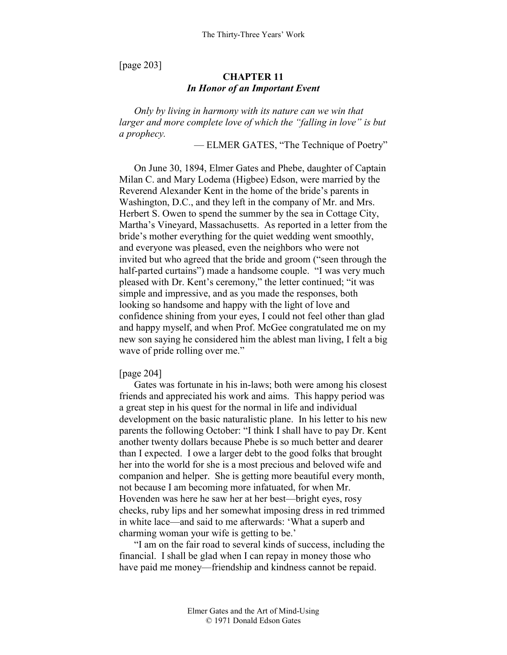[page 203]

# **CHAPTER 11**  *In Honor of an Important Event*

*Only by living in harmony with its nature can we win that larger and more complete love of which the "falling in love" is but a prophecy.* 

— ELMER GATES, "The Technique of Poetry"

On June 30, 1894, Elmer Gates and Phebe, daughter of Captain Milan C. and Mary Lodema (Higbee) Edson, were married by the Reverend Alexander Kent in the home of the bride's parents in Washington, D.C., and they left in the company of Mr. and Mrs. Herbert S. Owen to spend the summer by the sea in Cottage City, Martha's Vineyard, Massachusetts. As reported in a letter from the bride's mother everything for the quiet wedding went smoothly, and everyone was pleased, even the neighbors who were not invited but who agreed that the bride and groom ("seen through the half-parted curtains") made a handsome couple. "I was very much pleased with Dr. Kent's ceremony," the letter continued; "it was simple and impressive, and as you made the responses, both looking so handsome and happy with the light of love and confidence shining from your eyes, I could not feel other than glad and happy myself, and when Prof. McGee congratulated me on my new son saying he considered him the ablest man living, I felt a big wave of pride rolling over me."

## [page 204]

Gates was fortunate in his in-laws; both were among his closest friends and appreciated his work and aims. This happy period was a great step in his quest for the normal in life and individual development on the basic naturalistic plane. In his letter to his new parents the following October: "I think I shall have to pay Dr. Kent another twenty dollars because Phebe is so much better and dearer than I expected. I owe a larger debt to the good folks that brought her into the world for she is a most precious and beloved wife and companion and helper. She is getting more beautiful every month, not because I am becoming more infatuated, for when Mr. Hovenden was here he saw her at her best—bright eyes, rosy checks, ruby lips and her somewhat imposing dress in red trimmed in white lace—and said to me afterwards: 'What a superb and charming woman your wife is getting to be.'

"I am on the fair road to several kinds of success, including the financial. I shall be glad when I can repay in money those who have paid me money—friendship and kindness cannot be repaid.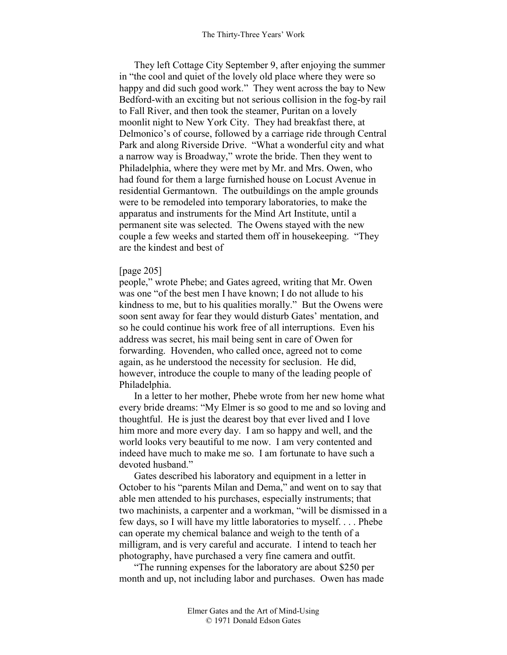They left Cottage City September 9, after enjoying the summer in "the cool and quiet of the lovely old place where they were so happy and did such good work." They went across the bay to New Bedford-with an exciting but not serious collision in the fog-by rail to Fall River, and then took the steamer, Puritan on a lovely moonlit night to New York City. They had breakfast there, at Delmonico's of course, followed by a carriage ride through Central Park and along Riverside Drive. "What a wonderful city and what a narrow way is Broadway," wrote the bride. Then they went to Philadelphia, where they were met by Mr. and Mrs. Owen, who had found for them a large furnished house on Locust Avenue in residential Germantown. The outbuildings on the ample grounds were to be remodeled into temporary laboratories, to make the apparatus and instruments for the Mind Art Institute, until a permanent site was selected. The Owens stayed with the new couple a few weeks and started them off in housekeeping. "They are the kindest and best of

## [page 205]

people," wrote Phebe; and Gates agreed, writing that Mr. Owen was one "of the best men I have known; I do not allude to his kindness to me, but to his qualities morally." But the Owens were soon sent away for fear they would disturb Gates' mentation, and so he could continue his work free of all interruptions. Even his address was secret, his mail being sent in care of Owen for forwarding. Hovenden, who called once, agreed not to come again, as he understood the necessity for seclusion. He did, however, introduce the couple to many of the leading people of Philadelphia.

In a letter to her mother, Phebe wrote from her new home what every bride dreams: "My Elmer is so good to me and so loving and thoughtful. He is just the dearest boy that ever lived and I love him more and more every day. I am so happy and well, and the world looks very beautiful to me now. I am very contented and indeed have much to make me so. I am fortunate to have such a devoted husband."

Gates described his laboratory and equipment in a letter in October to his "parents Milan and Dema," and went on to say that able men attended to his purchases, especially instruments; that two machinists, a carpenter and a workman, "will be dismissed in a few days, so I will have my little laboratories to myself. . . . Phebe can operate my chemical balance and weigh to the tenth of a milligram, and is very careful and accurate. I intend to teach her photography, have purchased a very fine camera and outfit.

"The running expenses for the laboratory are about \$250 per month and up, not including labor and purchases. Owen has made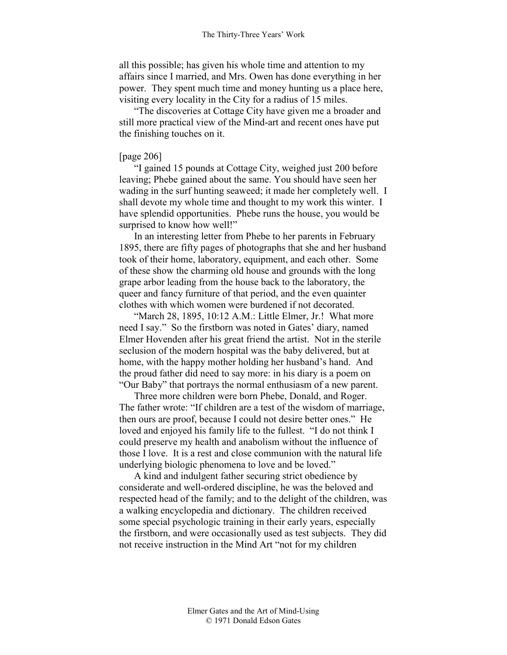all this possible; has given his whole time and attention to my affairs since I married, and Mrs. Owen has done everything in her power. They spent much time and money hunting us a place here, visiting every locality in the City for a radius of 15 miles.

"The discoveries at Cottage City have given me a broader and still more practical view of the Mind-art and recent ones have put the finishing touches on it.

## [page 206]

"I gained 15 pounds at Cottage City, weighed just 200 before leaving; Phebe gained about the same. You should have seen her wading in the surf hunting seaweed; it made her completely well. I shall devote my whole time and thought to my work this winter. I have splendid opportunities. Phebe runs the house, you would be surprised to know how well!"

In an interesting letter from Phebe to her parents in February 1895, there are fifty pages of photographs that she and her husband took of their home, laboratory, equipment, and each other. Some of these show the charming old house and grounds with the long grape arbor leading from the house back to the laboratory, the queer and fancy furniture of that period, and the even quainter clothes with which women were burdened if not decorated.

"March 28, 1895, 10:12 A.M.: Little Elmer, Jr.! What more need I say." So the firstborn was noted in Gates' diary, named Elmer Hovenden after his great friend the artist. Not in the sterile seclusion of the modern hospital was the baby delivered, but at home, with the happy mother holding her husband's hand. And the proud father did need to say more: in his diary is a poem on "Our Baby" that portrays the normal enthusiasm of a new parent.

Three more children were born Phebe, Donald, and Roger. The father wrote: "If children are a test of the wisdom of marriage, then ours are proof, because I could not desire better ones." He loved and enjoyed his family life to the fullest. "I do not think I could preserve my health and anabolism without the influence of those I love. It is a rest and close communion with the natural life underlying biologic phenomena to love and be loved."

A kind and indulgent father securing strict obedience by considerate and well-ordered discipline, he was the beloved and respected head of the family; and to the delight of the children, was a walking encyclopedia and dictionary. The children received some special psychologic training in their early years, especially the firstborn, and were occasionally used as test subjects. They did not receive instruction in the Mind Art "not for my children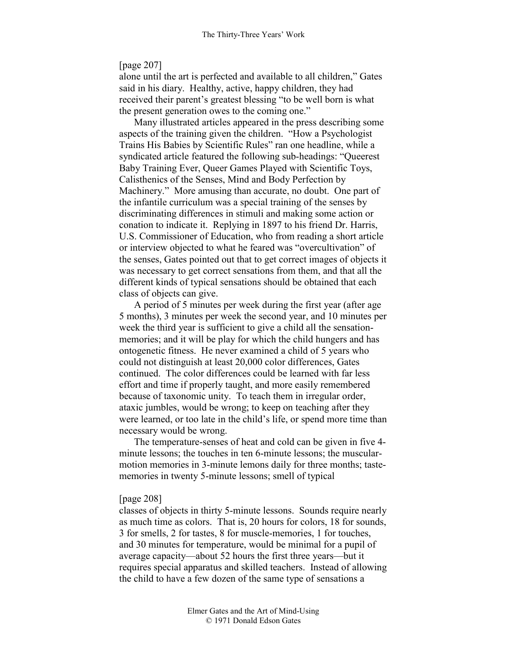## [page 207]

alone until the art is perfected and available to all children," Gates said in his diary. Healthy, active, happy children, they had received their parent's greatest blessing "to be well born is what the present generation owes to the coming one."

Many illustrated articles appeared in the press describing some aspects of the training given the children. "How a Psychologist Trains His Babies by Scientific Rules" ran one headline, while a syndicated article featured the following sub-headings: "Queerest Baby Training Ever, Queer Games Played with Scientific Toys, Calisthenics of the Senses, Mind and Body Perfection by Machinery." More amusing than accurate, no doubt. One part of the infantile curriculum was a special training of the senses by discriminating differences in stimuli and making some action or conation to indicate it. Replying in 1897 to his friend Dr. Harris, U.S. Commissioner of Education, who from reading a short article or interview objected to what he feared was "overcultivation" of the senses, Gates pointed out that to get correct images of objects it was necessary to get correct sensations from them, and that all the different kinds of typical sensations should be obtained that each class of objects can give.

A period of 5 minutes per week during the first year (after age 5 months), 3 minutes per week the second year, and 10 minutes per week the third year is sufficient to give a child all the sensationmemories; and it will be play for which the child hungers and has ontogenetic fitness. He never examined a child of 5 years who could not distinguish at least 20,000 color differences, Gates continued. The color differences could be learned with far less effort and time if properly taught, and more easily remembered because of taxonomic unity. To teach them in irregular order, ataxic jumbles, would be wrong; to keep on teaching after they were learned, or too late in the child's life, or spend more time than necessary would be wrong.

The temperature-senses of heat and cold can be given in five 4 minute lessons; the touches in ten 6-minute lessons; the muscularmotion memories in 3-minute lemons daily for three months; tastememories in twenty 5-minute lessons; smell of typical

## [page 208]

classes of objects in thirty 5-minute lessons. Sounds require nearly as much time as colors. That is, 20 hours for colors, 18 for sounds, 3 for smells, 2 for tastes, 8 for muscle-memories, 1 for touches, and 30 minutes for temperature, would be minimal for a pupil of average capacity—about 52 hours the first three years—but it requires special apparatus and skilled teachers. Instead of allowing the child to have a few dozen of the same type of sensations a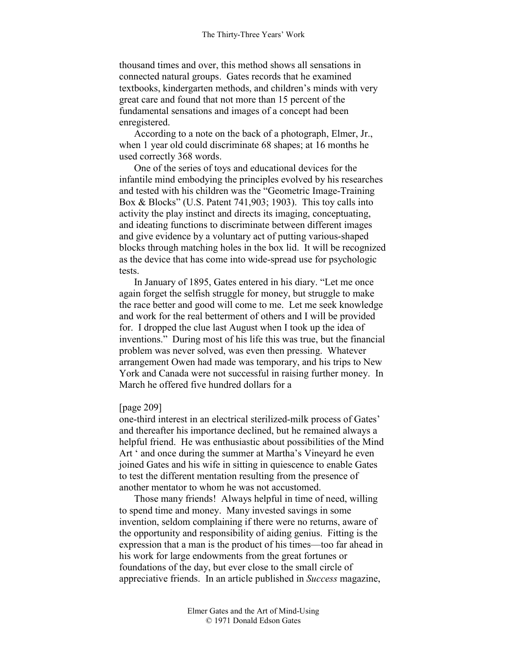thousand times and over, this method shows all sensations in connected natural groups. Gates records that he examined textbooks, kindergarten methods, and children's minds with very great care and found that not more than 15 percent of the fundamental sensations and images of a concept had been enregistered.

According to a note on the back of a photograph, Elmer, Jr., when 1 year old could discriminate 68 shapes; at 16 months he used correctly 368 words.

One of the series of toys and educational devices for the infantile mind embodying the principles evolved by his researches and tested with his children was the "Geometric Image-Training Box & Blocks" (U.S. Patent 741,903; 1903). This toy calls into activity the play instinct and directs its imaging, conceptuating, and ideating functions to discriminate between different images and give evidence by a voluntary act of putting various-shaped blocks through matching holes in the box lid. It will be recognized as the device that has come into wide-spread use for psychologic tests.

In January of 1895, Gates entered in his diary. "Let me once again forget the selfish struggle for money, but struggle to make the race better and good will come to me. Let me seek knowledge and work for the real betterment of others and I will be provided for. I dropped the clue last August when I took up the idea of inventions." During most of his life this was true, but the financial problem was never solved, was even then pressing. Whatever arrangement Owen had made was temporary, and his trips to New York and Canada were not successful in raising further money. In March he offered five hundred dollars for a

## [page 209]

one-third interest in an electrical sterilized-milk process of Gates' and thereafter his importance declined, but he remained always a helpful friend. He was enthusiastic about possibilities of the Mind Art ' and once during the summer at Martha's Vineyard he even joined Gates and his wife in sitting in quiescence to enable Gates to test the different mentation resulting from the presence of another mentator to whom he was not accustomed.

Those many friends! Always helpful in time of need, willing to spend time and money. Many invested savings in some invention, seldom complaining if there were no returns, aware of the opportunity and responsibility of aiding genius. Fitting is the expression that a man is the product of his times—too far ahead in his work for large endowments from the great fortunes or foundations of the day, but ever close to the small circle of appreciative friends. In an article published in *Success* magazine,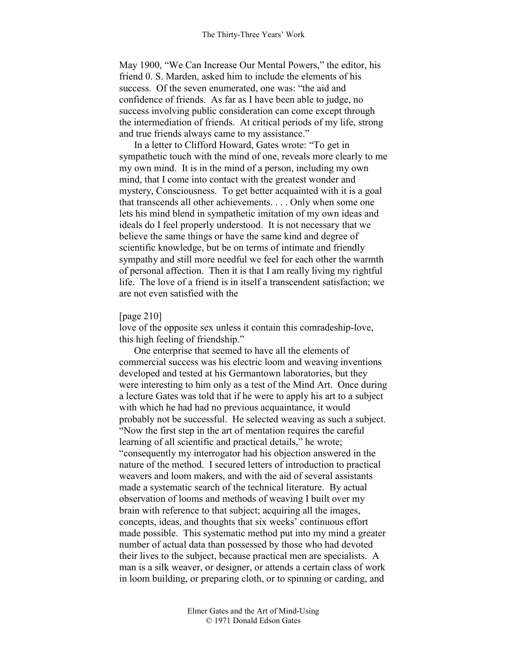May 1900, "We Can Increase Our Mental Powers," the editor, his friend 0. S. Marden, asked him to include the elements of his success. Of the seven enumerated, one was: "the aid and confidence of friends. As far as I have been able to judge, no success involving public consideration can come except through the intermediation of friends. At critical periods of my life, strong and true friends always came to my assistance."

In a letter to Clifford Howard, Gates wrote: "To get in sympathetic touch with the mind of one, reveals more clearly to me my own mind. It is in the mind of a person, including my own mind, that I come into contact with the greatest wonder and mystery, Consciousness. To get better acquainted with it is a goal that transcends all other achievements. . . . Only when some one lets his mind blend in sympathetic imitation of my own ideas and ideals do I feel properly understood. It is not necessary that we believe the same things or have the same kind and degree of scientific knowledge, but be on terms of intimate and friendly sympathy and still more needful we feel for each other the warmth of personal affection. Then it is that I am really living my rightful life. The love of a friend is in itself a transcendent satisfaction; we are not even satisfied with the

### [page 210]

love of the opposite sex unless it contain this comradeship-love, this high feeling of friendship."

One enterprise that seemed to have all the elements of commercial success was his electric loom and weaving inventions developed and tested at his Germantown laboratories, but they were interesting to him only as a test of the Mind Art. Once during a lecture Gates was told that if he were to apply his art to a subject with which he had had no previous acquaintance, it would probably not be successful. He selected weaving as such a subject. "Now the first step in the art of mentation requires the careful learning of all scientific and practical details," he wrote; "consequently my interrogator had his objection answered in the nature of the method. I secured letters of introduction to practical weavers and loom makers, and with the aid of several assistants made a systematic search of the technical literature. By actual observation of looms and methods of weaving I built over my brain with reference to that subject; acquiring all the images, concepts, ideas, and thoughts that six weeks' continuous effort made possible. This systematic method put into my mind a greater number of actual data than possessed by those who had devoted their lives to the subject, because practical men are specialists. A man is a silk weaver, or designer, or attends a certain class of work in loom building, or preparing cloth, or to spinning or carding, and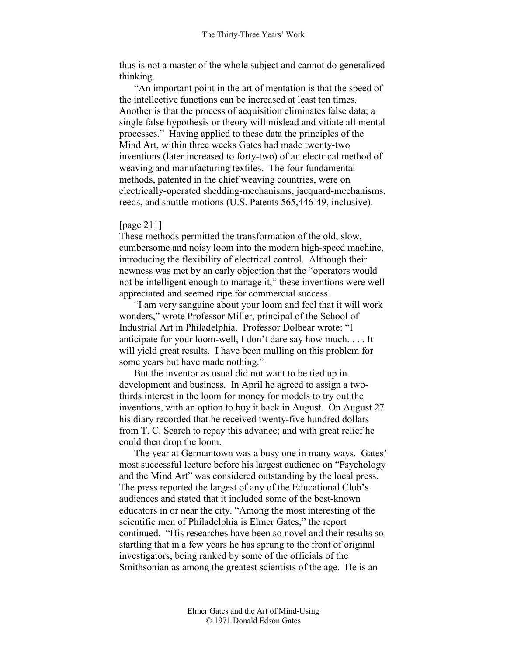thus is not a master of the whole subject and cannot do generalized thinking.

"An important point in the art of mentation is that the speed of the intellective functions can be increased at least ten times. Another is that the process of acquisition eliminates false data; a single false hypothesis or theory will mislead and vitiate all mental processes." Having applied to these data the principles of the Mind Art, within three weeks Gates had made twenty-two inventions (later increased to forty-two) of an electrical method of weaving and manufacturing textiles. The four fundamental methods, patented in the chief weaving countries, were on electrically-operated shedding-mechanisms, jacquard-mechanisms, reeds, and shuttle-motions (U.S. Patents 565,446-49, inclusive).

#### [page 211]

These methods permitted the transformation of the old, slow, cumbersome and noisy loom into the modern high-speed machine, introducing the flexibility of electrical control. Although their newness was met by an early objection that the "operators would not be intelligent enough to manage it," these inventions were well appreciated and seemed ripe for commercial success.

"I am very sanguine about your loom and feel that it will work wonders," wrote Professor Miller, principal of the School of Industrial Art in Philadelphia. Professor Dolbear wrote: "I anticipate for your loom-well, I don't dare say how much. . . . It will yield great results. I have been mulling on this problem for some years but have made nothing."

But the inventor as usual did not want to be tied up in development and business. In April he agreed to assign a twothirds interest in the loom for money for models to try out the inventions, with an option to buy it back in August. On August 27 his diary recorded that he received twenty-five hundred dollars from T. C. Search to repay this advance; and with great relief he could then drop the loom.

The year at Germantown was a busy one in many ways. Gates' most successful lecture before his largest audience on "Psychology and the Mind Art" was considered outstanding by the local press. The press reported the largest of any of the Educational Club's audiences and stated that it included some of the best-known educators in or near the city. "Among the most interesting of the scientific men of Philadelphia is Elmer Gates," the report continued. "His researches have been so novel and their results so startling that in a few years he has sprung to the front of original investigators, being ranked by some of the officials of the Smithsonian as among the greatest scientists of the age. He is an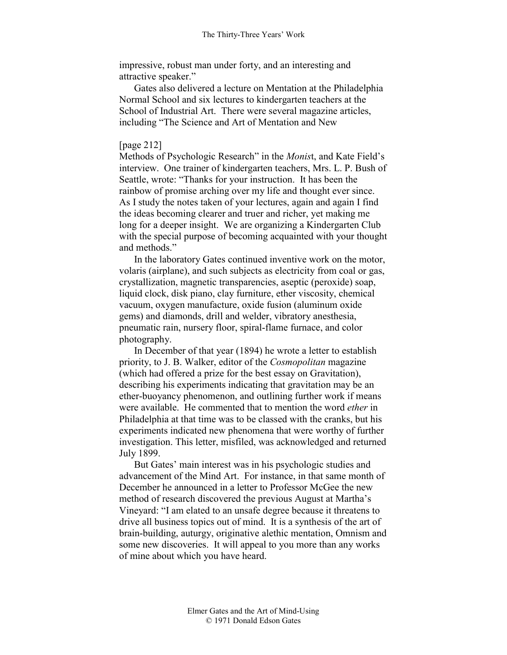impressive, robust man under forty, and an interesting and attractive speaker."

Gates also delivered a lecture on Mentation at the Philadelphia Normal School and six lectures to kindergarten teachers at the School of Industrial Art. There were several magazine articles, including "The Science and Art of Mentation and New

## [page 212]

Methods of Psychologic Research" in the *Monis*t, and Kate Field's interview. One trainer of kindergarten teachers, Mrs. L. P. Bush of Seattle, wrote: "Thanks for your instruction. It has been the rainbow of promise arching over my life and thought ever since. As I study the notes taken of your lectures, again and again I find the ideas becoming clearer and truer and richer, yet making me long for a deeper insight. We are organizing a Kindergarten Club with the special purpose of becoming acquainted with your thought and methods."

In the laboratory Gates continued inventive work on the motor, volaris (airplane), and such subjects as electricity from coal or gas, crystallization, magnetic transparencies, aseptic (peroxide) soap, liquid clock, disk piano, clay furniture, ether viscosity, chemical vacuum, oxygen manufacture, oxide fusion (aluminum oxide gems) and diamonds, drill and welder, vibratory anesthesia, pneumatic rain, nursery floor, spiral-flame furnace, and color photography.

In December of that year (1894) he wrote a letter to establish priority, to J. B. Walker, editor of the *Cosmopolitan* magazine (which had offered a prize for the best essay on Gravitation), describing his experiments indicating that gravitation may be an ether-buoyancy phenomenon, and outlining further work if means were available. He commented that to mention the word *ether* in Philadelphia at that time was to be classed with the cranks, but his experiments indicated new phenomena that were worthy of further investigation. This letter, misfiled, was acknowledged and returned July 1899.

But Gates' main interest was in his psychologic studies and advancement of the Mind Art. For instance, in that same month of December he announced in a letter to Professor McGee the new method of research discovered the previous August at Martha's Vineyard: "I am elated to an unsafe degree because it threatens to drive all business topics out of mind. It is a synthesis of the art of brain-building, auturgy, originative alethic mentation, Omnism and some new discoveries. It will appeal to you more than any works of mine about which you have heard.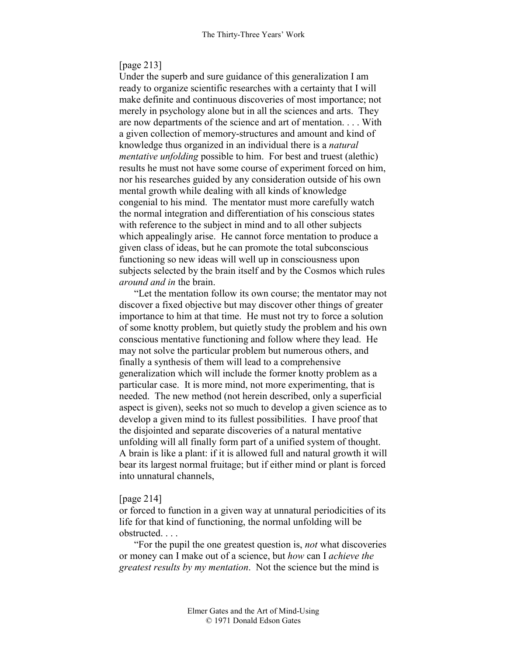## [page 213]

Under the superb and sure guidance of this generalization I am ready to organize scientific researches with a certainty that I will make definite and continuous discoveries of most importance; not merely in psychology alone but in all the sciences and arts. They are now departments of the science and art of mentation. . . . With a given collection of memory-structures and amount and kind of knowledge thus organized in an individual there is a *natural mentative unfolding* possible to him. For best and truest (alethic) results he must not have some course of experiment forced on him, nor his researches guided by any consideration outside of his own mental growth while dealing with all kinds of knowledge congenial to his mind. The mentator must more carefully watch the normal integration and differentiation of his conscious states with reference to the subject in mind and to all other subjects which appealingly arise. He cannot force mentation to produce a given class of ideas, but he can promote the total subconscious functioning so new ideas will well up in consciousness upon subjects selected by the brain itself and by the Cosmos which rules *around and in* the brain.

"Let the mentation follow its own course; the mentator may not discover a fixed objective but may discover other things of greater importance to him at that time. He must not try to force a solution of some knotty problem, but quietly study the problem and his own conscious mentative functioning and follow where they lead. He may not solve the particular problem but numerous others, and finally a synthesis of them will lead to a comprehensive generalization which will include the former knotty problem as a particular case. It is more mind, not more experimenting, that is needed. The new method (not herein described, only a superficial aspect is given), seeks not so much to develop a given science as to develop a given mind to its fullest possibilities. I have proof that the disjointed and separate discoveries of a natural mentative unfolding will all finally form part of a unified system of thought. A brain is like a plant: if it is allowed full and natural growth it will bear its largest normal fruitage; but if either mind or plant is forced into unnatural channels,

## [page 214]

or forced to function in a given way at unnatural periodicities of its life for that kind of functioning, the normal unfolding will be obstructed. . . .

"For the pupil the one greatest question is, *not* what discoveries or money can I make out of a science, but *how* can I *achieve the greatest results by my mentation*. Not the science but the mind is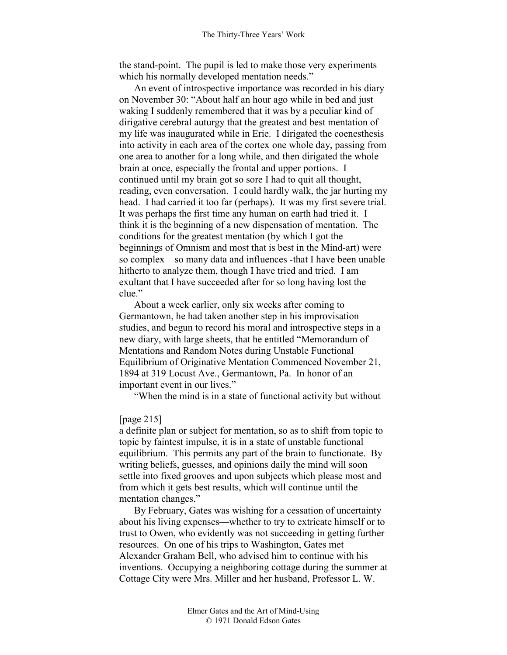the stand-point. The pupil is led to make those very experiments which his normally developed mentation needs."

An event of introspective importance was recorded in his diary on November 30: "About half an hour ago while in bed and just waking I suddenly remembered that it was by a peculiar kind of dirigative cerebral auturgy that the greatest and best mentation of my life was inaugurated while in Erie. I dirigated the coenesthesis into activity in each area of the cortex one whole day, passing from one area to another for a long while, and then dirigated the whole brain at once, especially the frontal and upper portions. I continued until my brain got so sore I had to quit all thought, reading, even conversation. I could hardly walk, the jar hurting my head. I had carried it too far (perhaps). It was my first severe trial. It was perhaps the first time any human on earth had tried it. I think it is the beginning of a new dispensation of mentation. The conditions for the greatest mentation (by which I got the beginnings of Omnism and most that is best in the Mind-art) were so complex—so many data and influences -that I have been unable hitherto to analyze them, though I have tried and tried. I am exultant that I have succeeded after for so long having lost the clue."

About a week earlier, only six weeks after coming to Germantown, he had taken another step in his improvisation studies, and begun to record his moral and introspective steps in a new diary, with large sheets, that he entitled "Memorandum of Mentations and Random Notes during Unstable Functional Equilibrium of Originative Mentation Commenced November 21, 1894 at 319 Locust Ave., Germantown, Pa. In honor of an important event in our lives."

"When the mind is in a state of functional activity but without

### [page 215]

a definite plan or subject for mentation, so as to shift from topic to topic by faintest impulse, it is in a state of unstable functional equilibrium. This permits any part of the brain to functionate. By writing beliefs, guesses, and opinions daily the mind will soon settle into fixed grooves and upon subjects which please most and from which it gets best results, which will continue until the mentation changes."

By February, Gates was wishing for a cessation of uncertainty about his living expenses—whether to try to extricate himself or to trust to Owen, who evidently was not succeeding in getting further resources. On one of his trips to Washington, Gates met Alexander Graham Bell, who advised him to continue with his inventions. Occupying a neighboring cottage during the summer at Cottage City were Mrs. Miller and her husband, Professor L. W.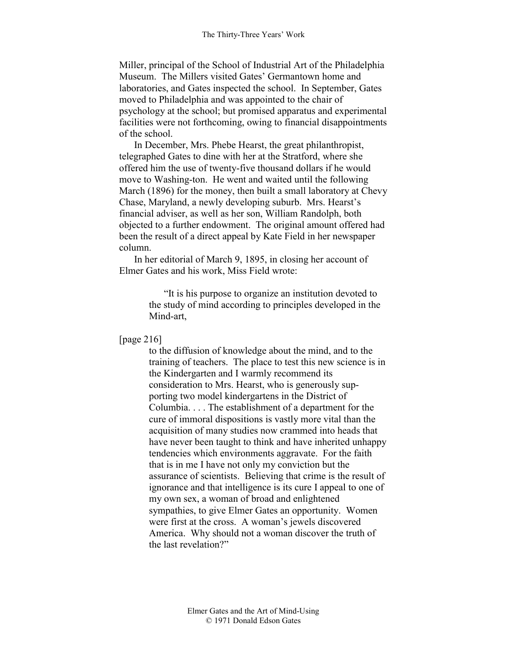Miller, principal of the School of Industrial Art of the Philadelphia Museum. The Millers visited Gates' Germantown home and laboratories, and Gates inspected the school. In September, Gates moved to Philadelphia and was appointed to the chair of psychology at the school; but promised apparatus and experimental facilities were not forthcoming, owing to financial disappointments of the school.

In December, Mrs. Phebe Hearst, the great philanthropist, telegraphed Gates to dine with her at the Stratford, where she offered him the use of twenty-five thousand dollars if he would move to Washing-ton. He went and waited until the following March (1896) for the money, then built a small laboratory at Chevy Chase, Maryland, a newly developing suburb. Mrs. Hearst's financial adviser, as well as her son, William Randolph, both objected to a further endowment. The original amount offered had been the result of a direct appeal by Kate Field in her newspaper column.

In her editorial of March 9, 1895, in closing her account of Elmer Gates and his work, Miss Field wrote:

> "It is his purpose to organize an institution devoted to the study of mind according to principles developed in the Mind-art,

## [page 216]

to the diffusion of knowledge about the mind, and to the training of teachers. The place to test this new science is in the Kindergarten and I warmly recommend its consideration to Mrs. Hearst, who is generously supporting two model kindergartens in the District of Columbia. . . . The establishment of a department for the cure of immoral dispositions is vastly more vital than the acquisition of many studies now crammed into heads that have never been taught to think and have inherited unhappy tendencies which environments aggravate. For the faith that is in me I have not only my conviction but the assurance of scientists. Believing that crime is the result of ignorance and that intelligence is its cure I appeal to one of my own sex, a woman of broad and enlightened sympathies, to give Elmer Gates an opportunity. Women were first at the cross. A woman's jewels discovered America. Why should not a woman discover the truth of the last revelation?"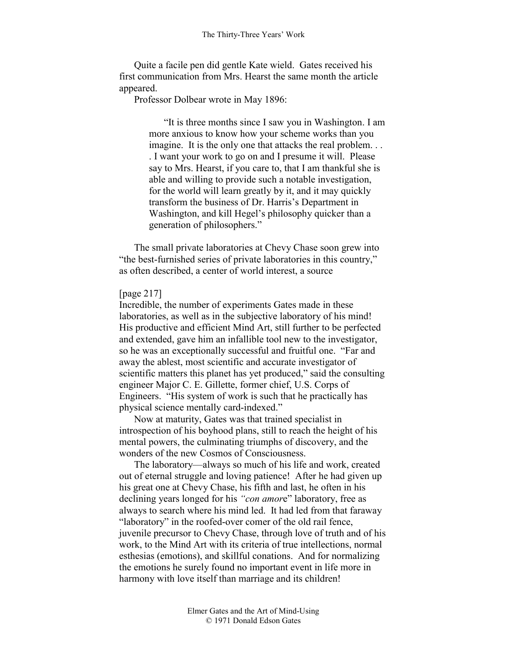Quite a facile pen did gentle Kate wield. Gates received his first communication from Mrs. Hearst the same month the article appeared.

Professor Dolbear wrote in May 1896:

"It is three months since I saw you in Washington. I am more anxious to know how your scheme works than you imagine. It is the only one that attacks the real problem. . . . I want your work to go on and I presume it will. Please say to Mrs. Hearst, if you care to, that I am thankful she is able and willing to provide such a notable investigation, for the world will learn greatly by it, and it may quickly transform the business of Dr. Harris's Department in Washington, and kill Hegel's philosophy quicker than a generation of philosophers."

The small private laboratories at Chevy Chase soon grew into "the best-furnished series of private laboratories in this country," as often described, a center of world interest, a source

## [page 217]

Incredible, the number of experiments Gates made in these laboratories, as well as in the subjective laboratory of his mind! His productive and efficient Mind Art, still further to be perfected and extended, gave him an infallible tool new to the investigator, so he was an exceptionally successful and fruitful one. "Far and away the ablest, most scientific and accurate investigator of scientific matters this planet has yet produced," said the consulting engineer Major C. E. Gillette, former chief, U.S. Corps of Engineers. "His system of work is such that he practically has physical science mentally card-indexed."

Now at maturity, Gates was that trained specialist in introspection of his boyhood plans, still to reach the height of his mental powers, the culminating triumphs of discovery, and the wonders of the new Cosmos of Consciousness.

The laboratory—always so much of his life and work, created out of eternal struggle and loving patience! After he had given up his great one at Chevy Chase, his fifth and last, he often in his declining years longed for his *"con amor*e" laboratory, free as always to search where his mind led. It had led from that faraway "laboratory" in the roofed-over comer of the old rail fence, juvenile precursor to Chevy Chase, through love of truth and of his work, to the Mind Art with its criteria of true intellections, normal esthesias (emotions), and skillful conations. And for normalizing the emotions he surely found no important event in life more in harmony with love itself than marriage and its children!